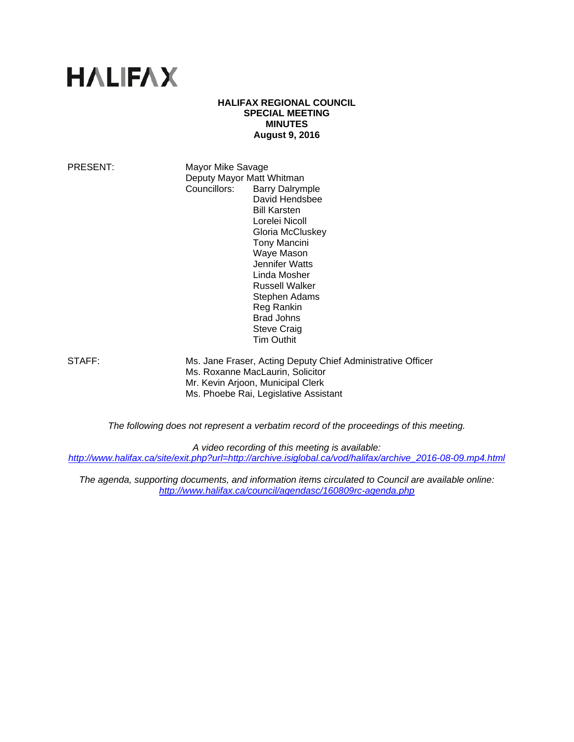# **HALIFAX**

## **HALIFAX REGIONAL COUNCIL SPECIAL MEETING MINUTES August 9, 2016**

PRESENT: Mayor Mike Savage Deputy Mayor Matt Whitman Councillors: Barry Dalrymple David Hendsbee Bill Karsten Lorelei Nicoll Gloria McCluskey Tony Mancini Waye Mason Jennifer Watts Linda Mosher Russell Walker Stephen Adams Reg Rankin Brad Johns Steve Craig Tim Outhit

STAFF: Ms. Jane Fraser, Acting Deputy Chief Administrative Officer Ms. Roxanne MacLaurin, Solicitor Mr. Kevin Arjoon, Municipal Clerk Ms. Phoebe Rai, Legislative Assistant

*The following does not represent a verbatim record of the proceedings of this meeting.* 

*A video recording of this meeting is available:* 

*http://www.halifax.ca/site/exit.php?url=http://archive.isiglobal.ca/vod/halifax/archive\_2016-08-09.mp4.html*

*The agenda, supporting documents, and information items circulated to Council are available online: http://www.halifax.ca/council/agendasc/160809rc-agenda.php*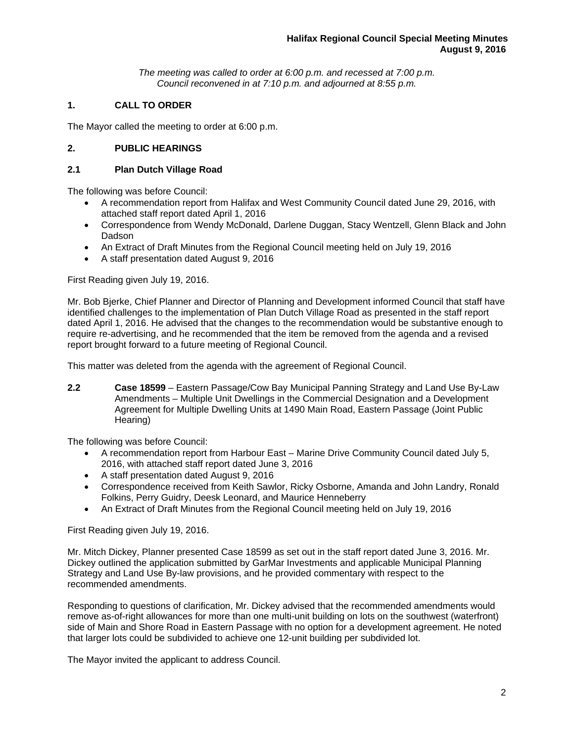*The meeting was called to order at 6:00 p.m. and recessed at 7:00 p.m. Council reconvened in at 7:10 p.m. and adjourned at 8:55 p.m.*

# **1. CALL TO ORDER**

The Mayor called the meeting to order at 6:00 p.m.

## **2. PUBLIC HEARINGS**

## **2.1 Plan Dutch Village Road**

The following was before Council:

- A recommendation report from Halifax and West Community Council dated June 29, 2016, with attached staff report dated April 1, 2016
- Correspondence from Wendy McDonald, Darlene Duggan, Stacy Wentzell, Glenn Black and John Dadson
- An Extract of Draft Minutes from the Regional Council meeting held on July 19, 2016
- A staff presentation dated August 9, 2016

First Reading given July 19, 2016.

Mr. Bob Bjerke, Chief Planner and Director of Planning and Development informed Council that staff have identified challenges to the implementation of Plan Dutch Village Road as presented in the staff report dated April 1, 2016. He advised that the changes to the recommendation would be substantive enough to require re-advertising, and he recommended that the item be removed from the agenda and a revised report brought forward to a future meeting of Regional Council.

This matter was deleted from the agenda with the agreement of Regional Council.

**2.2 Case 18599** – Eastern Passage/Cow Bay Municipal Panning Strategy and Land Use By-Law Amendments – Multiple Unit Dwellings in the Commercial Designation and a Development Agreement for Multiple Dwelling Units at 1490 Main Road, Eastern Passage (Joint Public Hearing)

The following was before Council:

- A recommendation report from Harbour East Marine Drive Community Council dated July 5, 2016, with attached staff report dated June 3, 2016
- A staff presentation dated August 9, 2016
- Correspondence received from Keith Sawlor, Ricky Osborne, Amanda and John Landry, Ronald Folkins, Perry Guidry, Deesk Leonard, and Maurice Henneberry
- An Extract of Draft Minutes from the Regional Council meeting held on July 19, 2016

First Reading given July 19, 2016.

Mr. Mitch Dickey, Planner presented Case 18599 as set out in the staff report dated June 3, 2016. Mr. Dickey outlined the application submitted by GarMar Investments and applicable Municipal Planning Strategy and Land Use By-law provisions, and he provided commentary with respect to the recommended amendments.

Responding to questions of clarification, Mr. Dickey advised that the recommended amendments would remove as-of-right allowances for more than one multi-unit building on lots on the southwest (waterfront) side of Main and Shore Road in Eastern Passage with no option for a development agreement. He noted that larger lots could be subdivided to achieve one 12-unit building per subdivided lot.

The Mayor invited the applicant to address Council.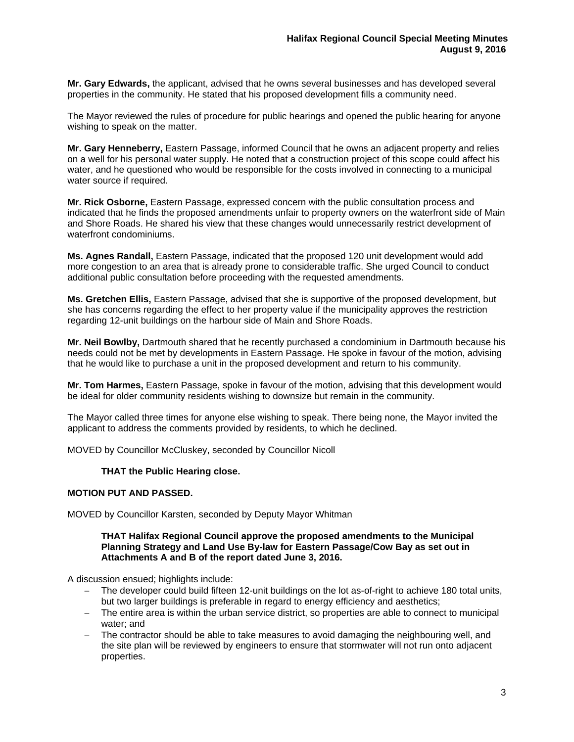**Mr. Gary Edwards,** the applicant, advised that he owns several businesses and has developed several properties in the community. He stated that his proposed development fills a community need.

The Mayor reviewed the rules of procedure for public hearings and opened the public hearing for anyone wishing to speak on the matter.

**Mr. Gary Henneberry,** Eastern Passage, informed Council that he owns an adjacent property and relies on a well for his personal water supply. He noted that a construction project of this scope could affect his water, and he questioned who would be responsible for the costs involved in connecting to a municipal water source if required.

**Mr. Rick Osborne,** Eastern Passage, expressed concern with the public consultation process and indicated that he finds the proposed amendments unfair to property owners on the waterfront side of Main and Shore Roads. He shared his view that these changes would unnecessarily restrict development of waterfront condominiums.

**Ms. Agnes Randall,** Eastern Passage, indicated that the proposed 120 unit development would add more congestion to an area that is already prone to considerable traffic. She urged Council to conduct additional public consultation before proceeding with the requested amendments.

**Ms. Gretchen Ellis,** Eastern Passage, advised that she is supportive of the proposed development, but she has concerns regarding the effect to her property value if the municipality approves the restriction regarding 12-unit buildings on the harbour side of Main and Shore Roads.

**Mr. Neil Bowlby,** Dartmouth shared that he recently purchased a condominium in Dartmouth because his needs could not be met by developments in Eastern Passage. He spoke in favour of the motion, advising that he would like to purchase a unit in the proposed development and return to his community.

**Mr. Tom Harmes,** Eastern Passage, spoke in favour of the motion, advising that this development would be ideal for older community residents wishing to downsize but remain in the community.

The Mayor called three times for anyone else wishing to speak. There being none, the Mayor invited the applicant to address the comments provided by residents, to which he declined.

MOVED by Councillor McCluskey, seconded by Councillor Nicoll

### **THAT the Public Hearing close.**

### **MOTION PUT AND PASSED.**

MOVED by Councillor Karsten, seconded by Deputy Mayor Whitman

#### **THAT Halifax Regional Council approve the proposed amendments to the Municipal Planning Strategy and Land Use By-law for Eastern Passage/Cow Bay as set out in Attachments A and B of the report dated June 3, 2016.**

A discussion ensued; highlights include:

- The developer could build fifteen 12-unit buildings on the lot as-of-right to achieve 180 total units, but two larger buildings is preferable in regard to energy efficiency and aesthetics;
- The entire area is within the urban service district, so properties are able to connect to municipal water; and
- The contractor should be able to take measures to avoid damaging the neighbouring well, and the site plan will be reviewed by engineers to ensure that stormwater will not run onto adjacent properties.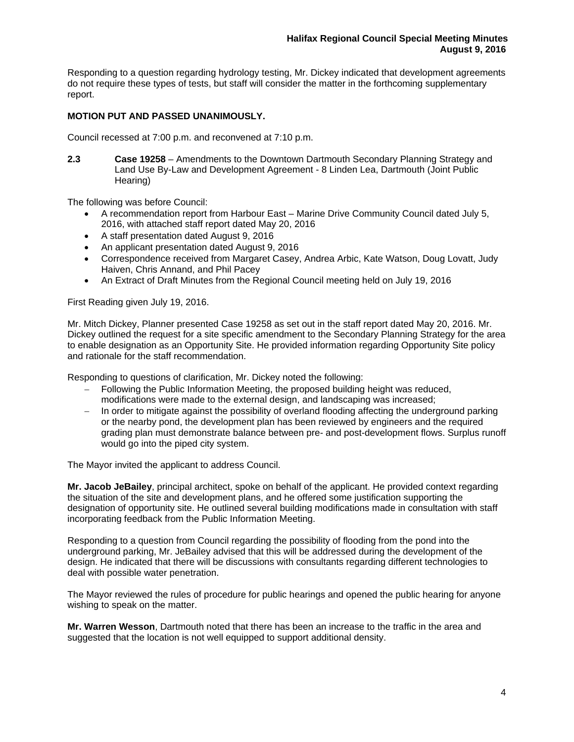Responding to a question regarding hydrology testing, Mr. Dickey indicated that development agreements do not require these types of tests, but staff will consider the matter in the forthcoming supplementary report.

## **MOTION PUT AND PASSED UNANIMOUSLY.**

Council recessed at 7:00 p.m. and reconvened at 7:10 p.m.

**2.3 Case 19258** – Amendments to the Downtown Dartmouth Secondary Planning Strategy and Land Use By-Law and Development Agreement - 8 Linden Lea, Dartmouth (Joint Public Hearing)

The following was before Council:

- A recommendation report from Harbour East Marine Drive Community Council dated July 5, 2016, with attached staff report dated May 20, 2016
- A staff presentation dated August 9, 2016
- An applicant presentation dated August 9, 2016
- Correspondence received from Margaret Casey, Andrea Arbic, Kate Watson, Doug Lovatt, Judy Haiven, Chris Annand, and Phil Pacey
- An Extract of Draft Minutes from the Regional Council meeting held on July 19, 2016

First Reading given July 19, 2016.

Mr. Mitch Dickey, Planner presented Case 19258 as set out in the staff report dated May 20, 2016. Mr. Dickey outlined the request for a site specific amendment to the Secondary Planning Strategy for the area to enable designation as an Opportunity Site. He provided information regarding Opportunity Site policy and rationale for the staff recommendation.

Responding to questions of clarification, Mr. Dickey noted the following:

- Following the Public Information Meeting, the proposed building height was reduced, modifications were made to the external design, and landscaping was increased;
- In order to mitigate against the possibility of overland flooding affecting the underground parking or the nearby pond, the development plan has been reviewed by engineers and the required grading plan must demonstrate balance between pre- and post-development flows. Surplus runoff would go into the piped city system.

The Mayor invited the applicant to address Council.

**Mr. Jacob JeBailey**, principal architect, spoke on behalf of the applicant. He provided context regarding the situation of the site and development plans, and he offered some justification supporting the designation of opportunity site. He outlined several building modifications made in consultation with staff incorporating feedback from the Public Information Meeting.

Responding to a question from Council regarding the possibility of flooding from the pond into the underground parking, Mr. JeBailey advised that this will be addressed during the development of the design. He indicated that there will be discussions with consultants regarding different technologies to deal with possible water penetration.

The Mayor reviewed the rules of procedure for public hearings and opened the public hearing for anyone wishing to speak on the matter.

**Mr. Warren Wesson**, Dartmouth noted that there has been an increase to the traffic in the area and suggested that the location is not well equipped to support additional density.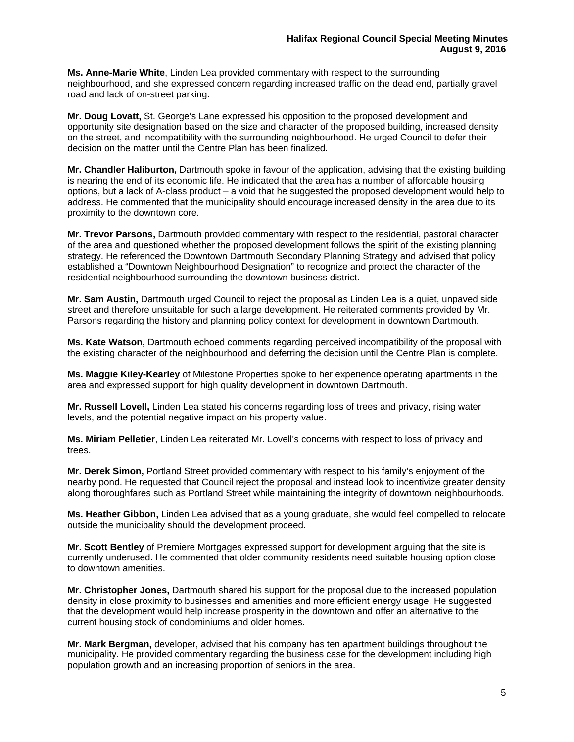**Ms. Anne-Marie White**, Linden Lea provided commentary with respect to the surrounding neighbourhood, and she expressed concern regarding increased traffic on the dead end, partially gravel road and lack of on-street parking.

**Mr. Doug Lovatt,** St. George's Lane expressed his opposition to the proposed development and opportunity site designation based on the size and character of the proposed building, increased density on the street, and incompatibility with the surrounding neighbourhood. He urged Council to defer their decision on the matter until the Centre Plan has been finalized.

**Mr. Chandler Haliburton,** Dartmouth spoke in favour of the application, advising that the existing building is nearing the end of its economic life. He indicated that the area has a number of affordable housing options, but a lack of A-class product – a void that he suggested the proposed development would help to address. He commented that the municipality should encourage increased density in the area due to its proximity to the downtown core.

**Mr. Trevor Parsons,** Dartmouth provided commentary with respect to the residential, pastoral character of the area and questioned whether the proposed development follows the spirit of the existing planning strategy. He referenced the Downtown Dartmouth Secondary Planning Strategy and advised that policy established a "Downtown Neighbourhood Designation" to recognize and protect the character of the residential neighbourhood surrounding the downtown business district.

**Mr. Sam Austin,** Dartmouth urged Council to reject the proposal as Linden Lea is a quiet, unpaved side street and therefore unsuitable for such a large development. He reiterated comments provided by Mr. Parsons regarding the history and planning policy context for development in downtown Dartmouth.

**Ms. Kate Watson,** Dartmouth echoed comments regarding perceived incompatibility of the proposal with the existing character of the neighbourhood and deferring the decision until the Centre Plan is complete.

**Ms. Maggie Kiley-Kearley** of Milestone Properties spoke to her experience operating apartments in the area and expressed support for high quality development in downtown Dartmouth.

**Mr. Russell Lovell,** Linden Lea stated his concerns regarding loss of trees and privacy, rising water levels, and the potential negative impact on his property value.

**Ms. Miriam Pelletier**, Linden Lea reiterated Mr. Lovell's concerns with respect to loss of privacy and trees.

**Mr. Derek Simon,** Portland Street provided commentary with respect to his family's enjoyment of the nearby pond. He requested that Council reject the proposal and instead look to incentivize greater density along thoroughfares such as Portland Street while maintaining the integrity of downtown neighbourhoods.

**Ms. Heather Gibbon,** Linden Lea advised that as a young graduate, she would feel compelled to relocate outside the municipality should the development proceed.

**Mr. Scott Bentley** of Premiere Mortgages expressed support for development arguing that the site is currently underused. He commented that older community residents need suitable housing option close to downtown amenities.

**Mr. Christopher Jones,** Dartmouth shared his support for the proposal due to the increased population density in close proximity to businesses and amenities and more efficient energy usage. He suggested that the development would help increase prosperity in the downtown and offer an alternative to the current housing stock of condominiums and older homes.

**Mr. Mark Bergman,** developer, advised that his company has ten apartment buildings throughout the municipality. He provided commentary regarding the business case for the development including high population growth and an increasing proportion of seniors in the area.